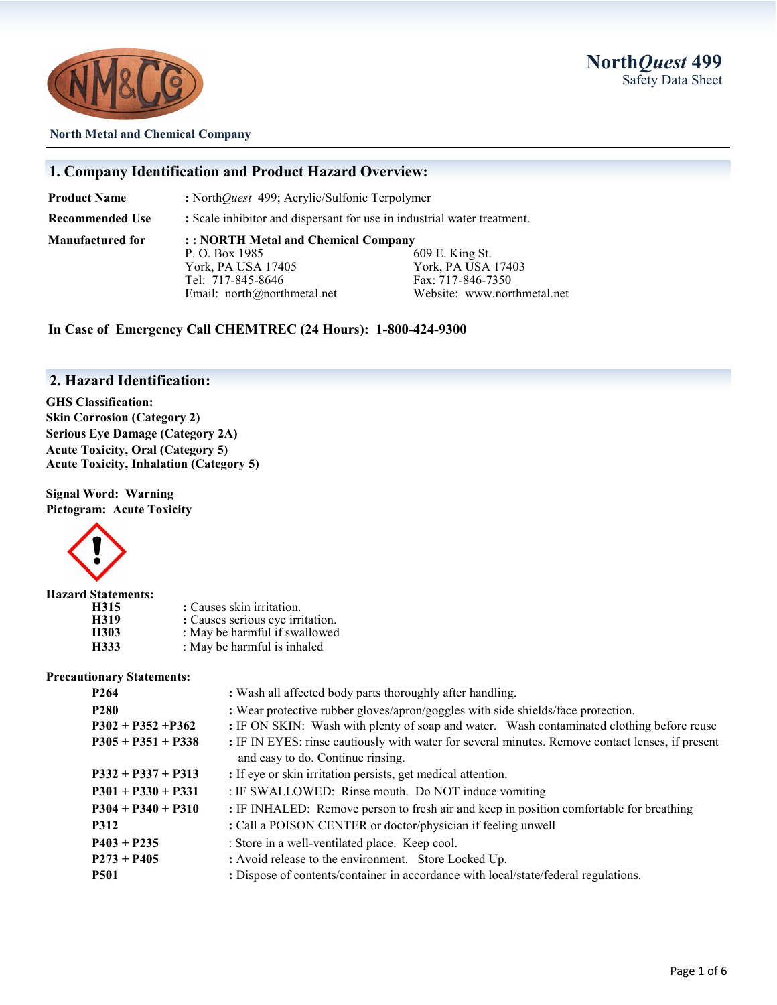

#### **North Metal and Chemical Company**

### **1. Company Identification and Product Hazard Overview:**

**Product Name :** North*Quest* 499; Acrylic/Sulfonic Terpolymer

**Recommended Use :** Scale inhibitor and dispersant for use in industrial water treatment.

**Manufactured for : : NORTH Metal and Chemical Company** P. O. Box 1985 609 E. King St. York, PA USA 17405 York, PA USA 17403 Tel: 717-845-8646 Fax: 717-846-7350

Email: north@northmetal.net Website: www.northmetal.net

**In Case of Emergency Call CHEMTREC (24 Hours): 1-800-424-9300**

### **2. Hazard Identification:**

**GHS Classification: Skin Corrosion (Category 2) Serious Eye Damage (Category 2A) Acute Toxicity, Oral (Category 5) Acute Toxicity, Inhalation (Category 5)**

**Signal Word: Warning Pictogram: Acute Toxicity**



| <b>Hazard Statements:</b> |                                  |
|---------------------------|----------------------------------|
| H315                      | : Causes skin irritation.        |
| H319                      | : Causes serious eye irritation. |
| H303                      | : May be harmful if swallowed    |
| H333                      | : May be harmful is inhaled      |

#### **Precautionary Statements:**

| : Wash all affected body parts thoroughly after handling.                                                                             |  |
|---------------------------------------------------------------------------------------------------------------------------------------|--|
| : Wear protective rubber gloves/apron/goggles with side shields/face protection.                                                      |  |
| : IF ON SKIN: Wash with plenty of soap and water. Wash contaminated clothing before reuse                                             |  |
| : IF IN EYES: rinse cautiously with water for several minutes. Remove contact lenses, if present<br>and easy to do. Continue rinsing. |  |
|                                                                                                                                       |  |
| : If eye or skin irritation persists, get medical attention.                                                                          |  |
| : IF SWALLOWED: Rinse mouth. Do NOT induce vomiting                                                                                   |  |
| : IF INHALED: Remove person to fresh air and keep in position comfortable for breathing                                               |  |
| : Call a POISON CENTER or doctor/physician if feeling unwell                                                                          |  |
| : Store in a well-ventilated place. Keep cool.                                                                                        |  |
| : Avoid release to the environment. Store Locked Up.                                                                                  |  |
| : Dispose of contents/container in accordance with local/state/federal regulations.                                                   |  |
|                                                                                                                                       |  |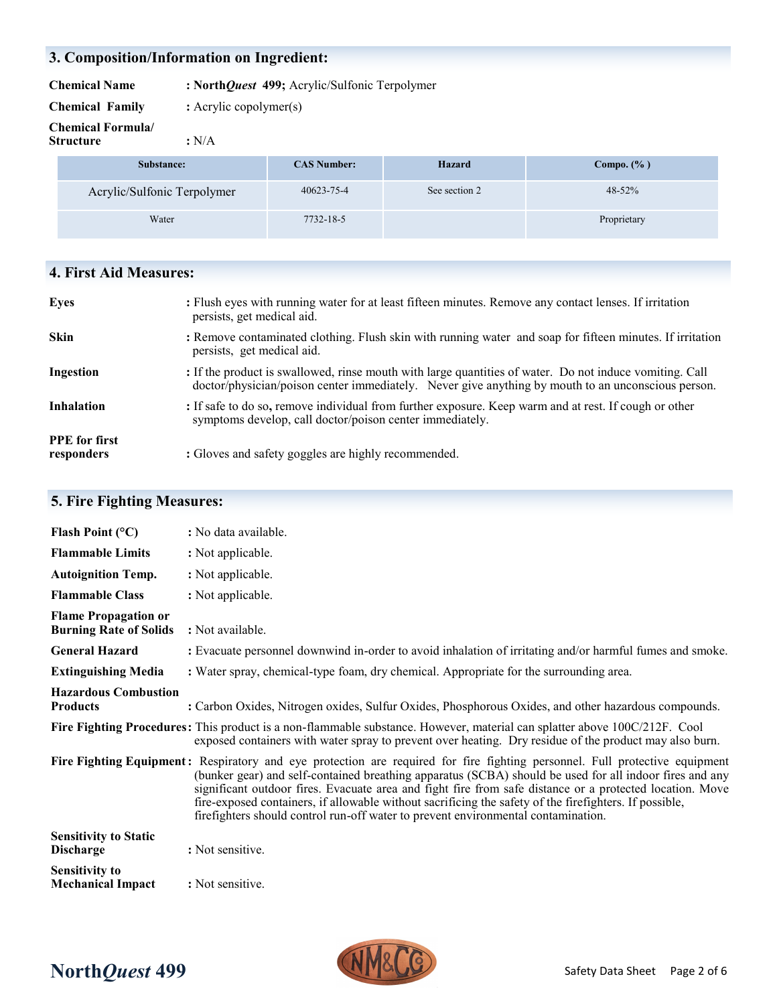# **3. Composition/Information on Ingredient:**

**Chemical Name : North***Quest* **499;** Acrylic/Sulfonic Terpolymer

**Chemical Family :** Acrylic copolymer(s)

**Chemical Formula/**

**Structure :** N/A

| Substance:                  | <b>CAS Number:</b> | Hazard        | Compo. $(\% )$ |
|-----------------------------|--------------------|---------------|----------------|
| Acrylic/Sulfonic Terpolymer | 40623-75-4         | See section 2 | 48-52%         |
| Water                       | 7732-18-5          |               | Proprietary    |

# **4. First Aid Measures:**

| <b>Eyes</b>                        | : Flush eyes with running water for at least fifteen minutes. Remove any contact lenses. If irritation<br>persists, get medical aid.                                                                          |
|------------------------------------|---------------------------------------------------------------------------------------------------------------------------------------------------------------------------------------------------------------|
| <b>Skin</b>                        | : Remove contaminated clothing. Flush skin with running water and soap for fifteen minutes. If irritation<br>persists, get medical aid.                                                                       |
| Ingestion                          | : If the product is swallowed, rinse mouth with large quantities of water. Do not induce vomiting. Call<br>doctor/physician/poison center immediately. Never give anything by mouth to an unconscious person. |
| <b>Inhalation</b>                  | : If safe to do so, remove individual from further exposure. Keep warm and at rest. If cough or other<br>symptoms develop, call doctor/poison center immediately.                                             |
| <b>PPE</b> for first<br>responders | : Gloves and safety goggles are highly recommended.                                                                                                                                                           |

# **5. Fire Fighting Measures:**

| Flash Point $(^{\circ}C)$                                    | : No data available.                                                                                                                                                                                                                                                                                                                                                                                                                                                                                                                              |
|--------------------------------------------------------------|---------------------------------------------------------------------------------------------------------------------------------------------------------------------------------------------------------------------------------------------------------------------------------------------------------------------------------------------------------------------------------------------------------------------------------------------------------------------------------------------------------------------------------------------------|
| <b>Flammable Limits</b>                                      | : Not applicable.                                                                                                                                                                                                                                                                                                                                                                                                                                                                                                                                 |
| <b>Autoignition Temp.</b>                                    | : Not applicable.                                                                                                                                                                                                                                                                                                                                                                                                                                                                                                                                 |
| <b>Flammable Class</b>                                       | : Not applicable.                                                                                                                                                                                                                                                                                                                                                                                                                                                                                                                                 |
| <b>Flame Propagation or</b><br><b>Burning Rate of Solids</b> | : Not available.                                                                                                                                                                                                                                                                                                                                                                                                                                                                                                                                  |
| <b>General Hazard</b>                                        | : Evacuate personnel downwind in-order to avoid inhalation of irritating and/or harmful fumes and smoke.                                                                                                                                                                                                                                                                                                                                                                                                                                          |
| <b>Extinguishing Media</b>                                   | : Water spray, chemical-type foam, dry chemical. Appropriate for the surrounding area.                                                                                                                                                                                                                                                                                                                                                                                                                                                            |
| <b>Hazardous Combustion</b><br><b>Products</b>               | : Carbon Oxides, Nitrogen oxides, Sulfur Oxides, Phosphorous Oxides, and other hazardous compounds.                                                                                                                                                                                                                                                                                                                                                                                                                                               |
|                                                              | Fire Fighting Procedures: This product is a non-flammable substance. However, material can splatter above 100C/212F. Cool<br>exposed containers with water spray to prevent over heating. Dry residue of the product may also burn.                                                                                                                                                                                                                                                                                                               |
|                                                              | Fire Fighting Equipment: Respiratory and eye protection are required for fire fighting personnel. Full protective equipment<br>(bunker gear) and self-contained breathing apparatus (SCBA) should be used for all indoor fires and any<br>significant outdoor fires. Evacuate area and fight fire from safe distance or a protected location. Move<br>fire-exposed containers, if allowable without sacrificing the safety of the firefighters. If possible,<br>firefighters should control run-off water to prevent environmental contamination. |
| <b>Sensitivity to Static</b><br><b>Discharge</b>             | : Not sensitive.                                                                                                                                                                                                                                                                                                                                                                                                                                                                                                                                  |
| <b>Sensitivity to</b><br><b>Mechanical Impact</b>            | : Not sensitive.                                                                                                                                                                                                                                                                                                                                                                                                                                                                                                                                  |



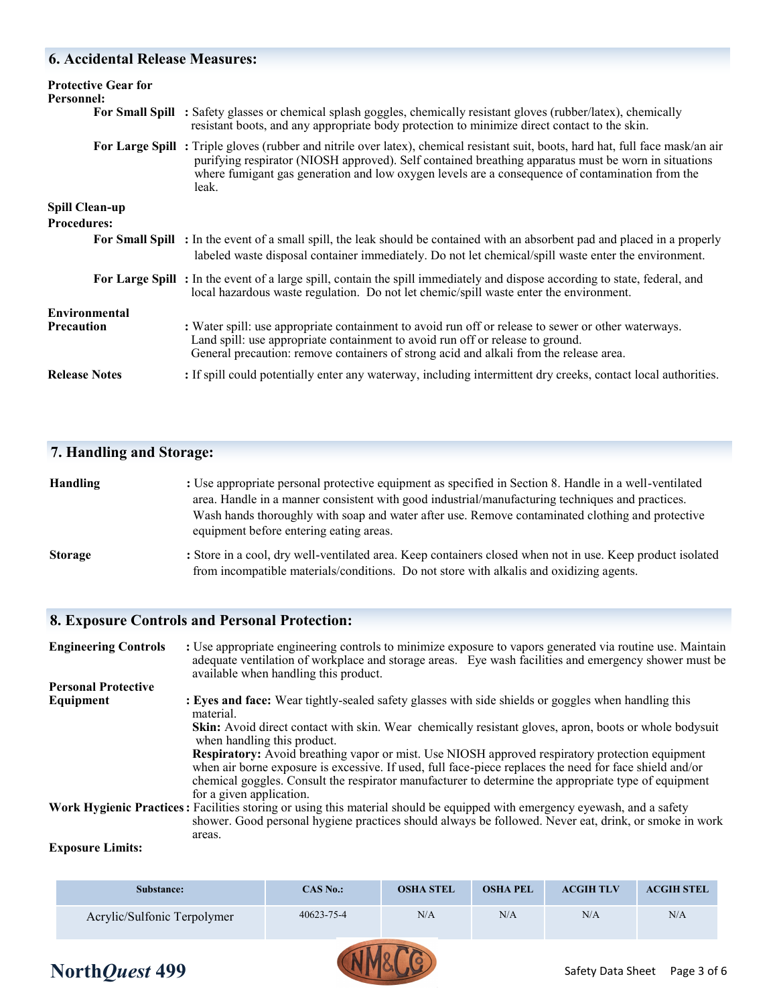# **6. Accidental Release Measures:**

| <b>Protective Gear for</b><br>Personnel:    | For Small Spill : Safety glasses or chemical splash goggles, chemically resistant gloves (rubber/latex), chemically<br>resistant boots, and any appropriate body protection to minimize direct contact to the skin.                                                                                                                                 |
|---------------------------------------------|-----------------------------------------------------------------------------------------------------------------------------------------------------------------------------------------------------------------------------------------------------------------------------------------------------------------------------------------------------|
|                                             | For Large Spill: Triple gloves (rubber and nitrile over latex), chemical resistant suit, boots, hard hat, full face mask/an air<br>purifying respirator (NIOSH approved). Self contained breathing apparatus must be worn in situations<br>where fumigant gas generation and low oxygen levels are a consequence of contamination from the<br>leak. |
| <b>Spill Clean-up</b><br><b>Procedures:</b> |                                                                                                                                                                                                                                                                                                                                                     |
|                                             | For Small Spill : In the event of a small spill, the leak should be contained with an absorbent pad and placed in a properly<br>labeled waste disposal container immediately. Do not let chemical/spill waste enter the environment.                                                                                                                |
|                                             | For Large Spill: In the event of a large spill, contain the spill immediately and dispose according to state, federal, and<br>local hazardous waste regulation. Do not let chemic/spill waste enter the environment.                                                                                                                                |
| Environmental<br><b>Precaution</b>          | : Water spill: use appropriate containment to avoid run off or release to sewer or other waterways.<br>Land spill: use appropriate containment to avoid run off or release to ground.<br>General precaution: remove containers of strong acid and alkali from the release area.                                                                     |
| <b>Release Notes</b>                        | : If spill could potentially enter any waterway, including intermittent dry creeks, contact local authorities.                                                                                                                                                                                                                                      |

# **7. Handling and Storage:**

| <b>Handling</b> | : Use appropriate personal protective equipment as specified in Section 8. Handle in a well-ventilated                                                                                                                                                                                                                          |
|-----------------|---------------------------------------------------------------------------------------------------------------------------------------------------------------------------------------------------------------------------------------------------------------------------------------------------------------------------------|
|                 | area. Handle in a manner consistent with good industrial/manufacturing techniques and practices.                                                                                                                                                                                                                                |
|                 | Wash hands thoroughly with soap and water after use. Remove contaminated clothing and protective                                                                                                                                                                                                                                |
|                 | equipment before entering eating areas.                                                                                                                                                                                                                                                                                         |
| $\mathbf{C}$    | $\mathcal{L}$ , $\mathcal{L}$ , $\mathcal{L}$ , $\mathcal{L}$ , $\mathcal{L}$ , $\mathcal{L}$ , $\mathcal{L}$ , $\mathcal{L}$ , $\mathcal{L}$ , $\mathcal{L}$ , $\mathcal{L}$ , $\mathcal{L}$ , $\mathcal{L}$ , $\mathcal{L}$ , $\mathcal{L}$ , $\mathcal{L}$ , $\mathcal{L}$ , $\mathcal{L}$ , $\mathcal{L}$ , $\mathcal{L}$ , |

**Storage** : Store in a cool, dry well-ventilated area. Keep containers closed when not in use. Keep product isolated from incompatible materials/conditions. Do not store with alkalis and oxidizing agents.

# **8. Exposure Controls and Personal Protection:**

| <b>Engineering Controls</b> | : Use appropriate engineering controls to minimize exposure to vapors generated via routine use. Maintain<br>adequate ventilation of workplace and storage areas. Eye wash facilities and emergency shower must be<br>available when handling this product.                                                                                    |
|-----------------------------|------------------------------------------------------------------------------------------------------------------------------------------------------------------------------------------------------------------------------------------------------------------------------------------------------------------------------------------------|
| <b>Personal Protective</b>  |                                                                                                                                                                                                                                                                                                                                                |
| Equipment                   | : Eyes and face: Wear tightly-sealed safety glasses with side shields or goggles when handling this<br>material.                                                                                                                                                                                                                               |
|                             | Skin: Avoid direct contact with skin. Wear chemically resistant gloves, apron, boots or whole bodysuit<br>when handling this product.                                                                                                                                                                                                          |
|                             | Respiratory: Avoid breathing vapor or mist. Use NIOSH approved respiratory protection equipment<br>when air borne exposure is excessive. If used, full face-piece replaces the need for face shield and/or<br>chemical goggles. Consult the respirator manufacturer to determine the appropriate type of equipment<br>for a given application. |
|                             | Work Hygienic Practices: Facilities storing or using this material should be equipped with emergency eyewash, and a safety<br>shower. Good personal hygiene practices should always be followed. Never eat, drink, or smoke in work                                                                                                            |
|                             | areas.                                                                                                                                                                                                                                                                                                                                         |

#### **Exposure Limits:**

**North***Quest* 499

| Substance:                  | <b>CAS No.:</b> | <b>OSHA STEL</b> | <b>OSHA PEL</b> | <b>ACGIH TLV</b> | <b>ACGIH STEL</b> |
|-----------------------------|-----------------|------------------|-----------------|------------------|-------------------|
| Acrylic/Sulfonic Terpolymer | 40623-75-4      | N/A              | N/A             | N/A              | N/A               |

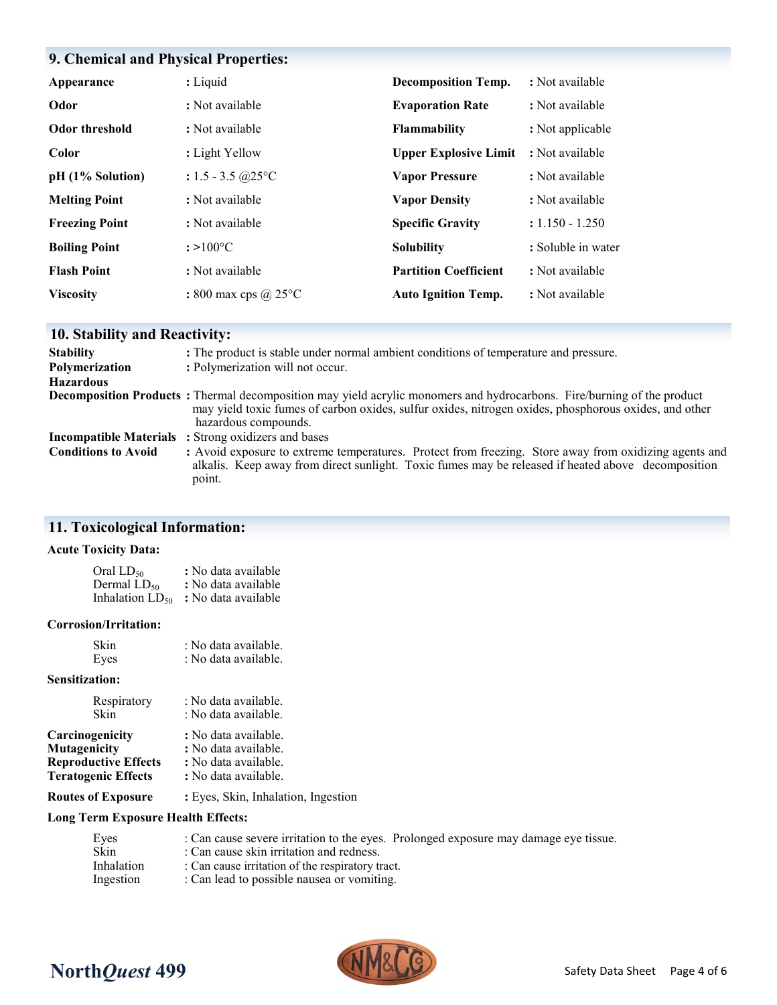# **9. Chemical and Physical Properties:**

| Appearance            | : Liquid                       | <b>Decomposition Temp.</b>   | : Not available    |
|-----------------------|--------------------------------|------------------------------|--------------------|
| Odor                  | : Not available                | <b>Evaporation Rate</b>      | : Not available    |
| Odor threshold        | : Not available                | <b>Flammability</b>          | : Not applicable   |
| Color                 | : Light Yellow                 | <b>Upper Explosive Limit</b> | : Not available    |
| pH (1% Solution)      | : $1.5 - 3.5$ @ $25^{\circ}$ C | <b>Vapor Pressure</b>        | : Not available    |
| <b>Melting Point</b>  | : Not available                | <b>Vapor Density</b>         | : Not available    |
| <b>Freezing Point</b> | : Not available                | <b>Specific Gravity</b>      | $: 1.150 - 1.250$  |
| <b>Boiling Point</b>  | $: >100^{\circ}C$              | <b>Solubility</b>            | : Soluble in water |
| <b>Flash Point</b>    | : Not available                | <b>Partition Coefficient</b> | : Not available    |
| <b>Viscosity</b>      | : 800 max cps $\omega$ 25 °C   | <b>Auto Ignition Temp.</b>   | : Not available    |

# **10. Stability and Reactivity:**

| <b>Stability</b>           | : The product is stable under normal ambient conditions of temperature and pressure.                                                                                                                                                                            |
|----------------------------|-----------------------------------------------------------------------------------------------------------------------------------------------------------------------------------------------------------------------------------------------------------------|
| Polymerization             | : Polymerization will not occur.                                                                                                                                                                                                                                |
| <b>Hazardous</b>           |                                                                                                                                                                                                                                                                 |
|                            | <b>Decomposition Products</b> : Thermal decomposition may yield acrylic monomers and hydrocarbons. Fire/burning of the product<br>may yield toxic fumes of carbon oxides, sulfur oxides, nitrogen oxides, phosphorous oxides, and other<br>hazardous compounds. |
|                            | <b>Incompatible Materials</b> : Strong oxidizers and bases                                                                                                                                                                                                      |
| <b>Conditions to Avoid</b> | : Avoid exposure to extreme temperatures. Protect from freezing. Store away from oxidizing agents and<br>alkalis. Keep away from direct sunlight. Toxic fumes may be released if heated above decomposition<br>point.                                           |

# **11. Toxicological Information:**

### **Acute Toxicity Data:**

| Oral LD50               | : No data available |
|-------------------------|---------------------|
| Dermal LD <sub>50</sub> | : No data available |
| Inhalation $LD_{50}$    | : No data available |

#### **Corrosion/Irritation:**

| Skin | : No data available. |
|------|----------------------|
| Eyes | : No data available. |

### **Sensitization:**

| Respiratory                 | : No data available. |
|-----------------------------|----------------------|
| Skin                        | : No data available. |
| Carcinogenicity             | : No data available. |
| Mutagenicity                | : No data available. |
| <b>Reproductive Effects</b> | : No data available. |
| <b>Teratogenic Effects</b>  | : No data available. |

**Routes of Exposure :** Eyes, Skin, Inhalation, Ingestion

### **Long Term Exposure Health Effects:**

| Eyes              | : Can cause severe irritation to the eyes. Prolonged exposure may damage eye tissue. |
|-------------------|--------------------------------------------------------------------------------------|
| Skin              | : Can cause skin irritation and redness.                                             |
| <b>Inhalation</b> | : Can cause irritation of the respiratory tract.                                     |
| Ingestion         | : Can lead to possible nausea or vomiting.                                           |



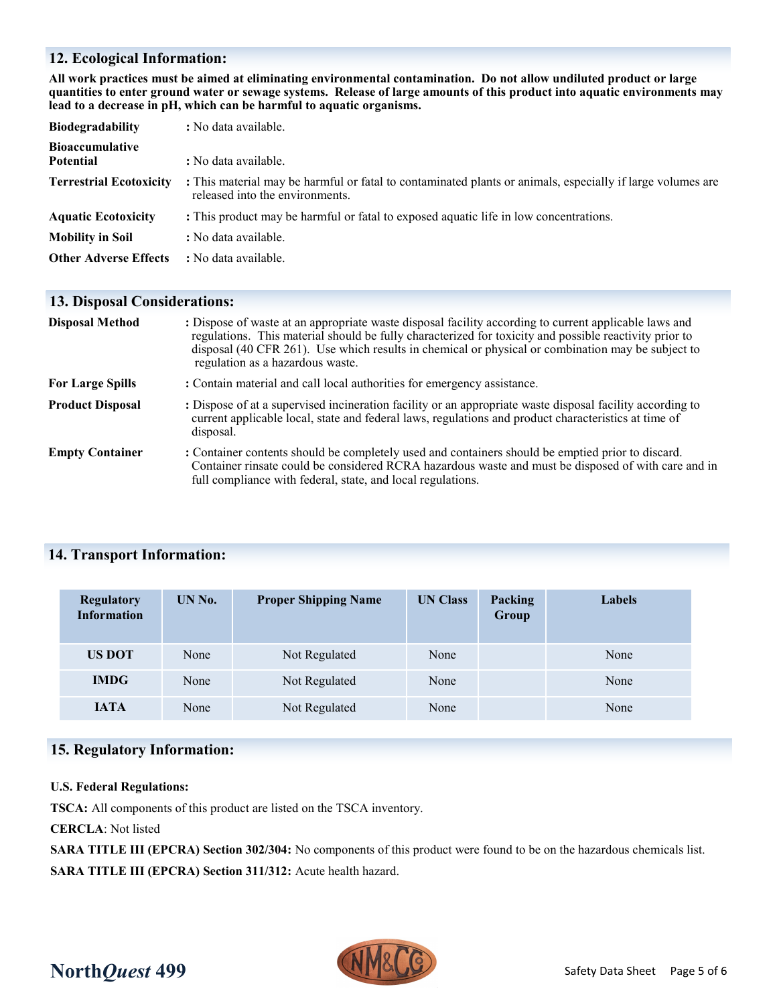### **12. Ecological Information:**

**All work practices must be aimed at eliminating environmental contamination. Do not allow undiluted product or large quantities to enter ground water or sewage systems. Release of large amounts of this product into aquatic environments may lead to a decrease in pH, which can be harmful to aquatic organisms.**

| <b>Biodegradability</b>                    | : No data available.                                                                                                                          |
|--------------------------------------------|-----------------------------------------------------------------------------------------------------------------------------------------------|
| <b>Bioaccumulative</b><br><b>Potential</b> | : No data available.                                                                                                                          |
| <b>Terrestrial Ecotoxicity</b>             | : This material may be harmful or fatal to contaminated plants or animals, especially if large volumes are<br>released into the environments. |
| <b>Aquatic Ecotoxicity</b>                 | : This product may be harmful or fatal to exposed aquatic life in low concentrations.                                                         |
| <b>Mobility in Soil</b>                    | : No data available.                                                                                                                          |
| <b>Other Adverse Effects</b>               | : No data available.                                                                                                                          |

### **13. Disposal Considerations:**

| <b>Disposal Method</b>  | : Dispose of waste at an appropriate waste disposal facility according to current applicable laws and<br>regulations. This material should be fully characterized for toxicity and possible reactivity prior to<br>disposal (40 CFR 261). Use which results in chemical or physical or combination may be subject to<br>regulation as a hazardous waste. |
|-------------------------|----------------------------------------------------------------------------------------------------------------------------------------------------------------------------------------------------------------------------------------------------------------------------------------------------------------------------------------------------------|
| <b>For Large Spills</b> | : Contain material and call local authorities for emergency assistance.                                                                                                                                                                                                                                                                                  |
| <b>Product Disposal</b> | : Dispose of at a supervised incineration facility or an appropriate waste disposal facility according to<br>current applicable local, state and federal laws, regulations and product characteristics at time of<br>disposal.                                                                                                                           |
| <b>Empty Container</b>  | : Container contents should be completely used and containers should be emptied prior to discard.<br>Container rinsate could be considered RCRA hazardous waste and must be disposed of with care and in<br>full compliance with federal, state, and local regulations.                                                                                  |

### **14. Transport Information:**

| <b>Regulatory</b><br><b>Information</b> | UN No. | <b>Proper Shipping Name</b> | <b>UN Class</b> | <b>Packing</b><br>Group | Labels |
|-----------------------------------------|--------|-----------------------------|-----------------|-------------------------|--------|
| <b>US DOT</b>                           | None   | Not Regulated               | None            |                         | None   |
| <b>IMDG</b>                             | None   | Not Regulated               | None            |                         | None   |
| <b>IATA</b>                             | None   | Not Regulated               | None            |                         | None   |

## **15. Regulatory Information:**

#### **U.S. Federal Regulations:**

**TSCA:** All components of this product are listed on the TSCA inventory.

**CERCLA**: Not listed

**SARA TITLE III (EPCRA) Section 302/304:** No components of this product were found to be on the hazardous chemicals list. **SARA TITLE III (EPCRA) Section 311/312:** Acute health hazard.